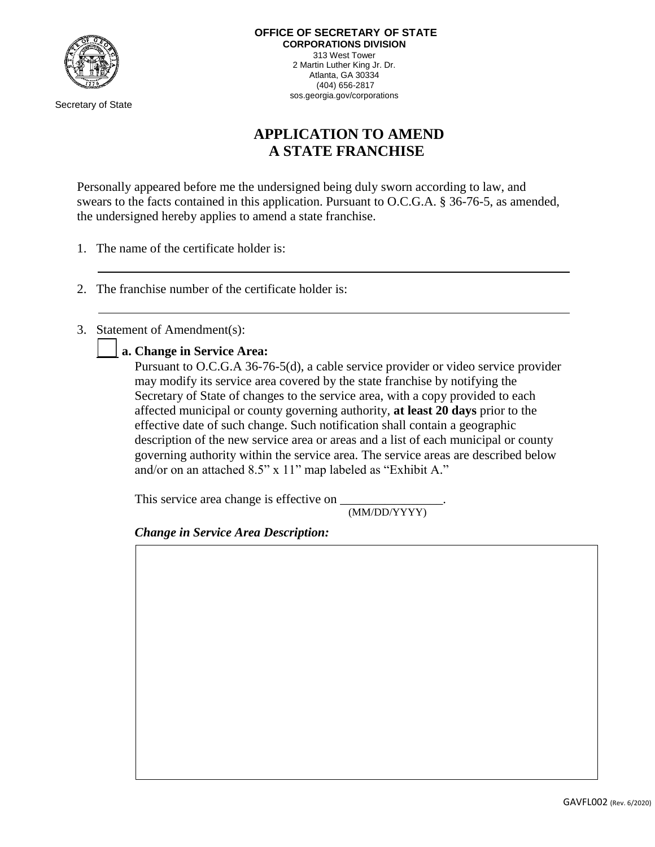

Secretary of State

## **APPLICATION TO AMEND A STATE FRANCHISE**

Personally appeared before me the undersigned being duly sworn according to law, and swears to the facts contained in this application. Pursuant to O.C.G.A. § 36-76-5, as amended, the undersigned hereby applies to amend a state franchise.

- 1. The name of the certificate holder is:
- 2. The franchise number of the certificate holder is:
- 3. Statement of Amendment(s):

**a. Change in Service Area:**

Pursuant to O.C.G.A 36-76-5(d), a cable service provider or video service provider may modify its service area covered by the state franchise by notifying the Secretary of State of changes to the service area, with a copy provided to each affected municipal or county governing authority, **at least 20 days** prior to the effective date of such change. Such notification shall contain a geographic description of the new service area or areas and a list of each municipal or county governing authority within the service area. The service areas are described below and/or on an attached 8.5" x 11" map labeled as "Exhibit A."

This service area change is effective on

(MM/DD/YYYY)

*Change in Service Area Description:*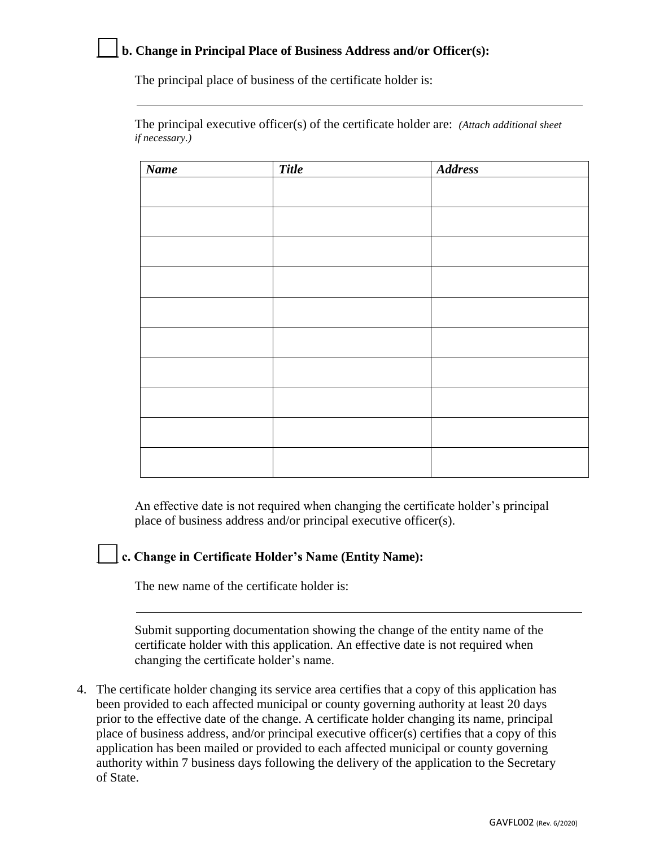## **b. Change in Principal Place of Business Address and/or Officer(s):**

The principal place of business of the certificate holder is:

The principal executive officer(s) of the certificate holder are: *(Attach additional sheet if necessary.)*

| <b>Name</b> | <b>Title</b> | <b>Address</b> |
|-------------|--------------|----------------|
|             |              |                |
|             |              |                |
|             |              |                |
|             |              |                |
|             |              |                |
|             |              |                |
|             |              |                |
|             |              |                |
|             |              |                |
|             |              |                |
|             |              |                |
|             |              |                |
|             |              |                |
|             |              |                |
|             |              |                |
|             |              |                |
|             |              |                |

An effective date is not required when changing the certificate holder's principal place of business address and/or principal executive officer(s).

## **c. Change in Certificate Holder's Name (Entity Name):**

The new name of the certificate holder is:

Submit supporting documentation showing the change of the entity name of the certificate holder with this application. An effective date is not required when changing the certificate holder's name.

4. The certificate holder changing its service area certifies that a copy of this application has been provided to each affected municipal or county governing authority at least 20 days prior to the effective date of the change. A certificate holder changing its name, principal place of business address, and/or principal executive officer(s) certifies that a copy of this application has been mailed or provided to each affected municipal or county governing authority within 7 business days following the delivery of the application to the Secretary of State.